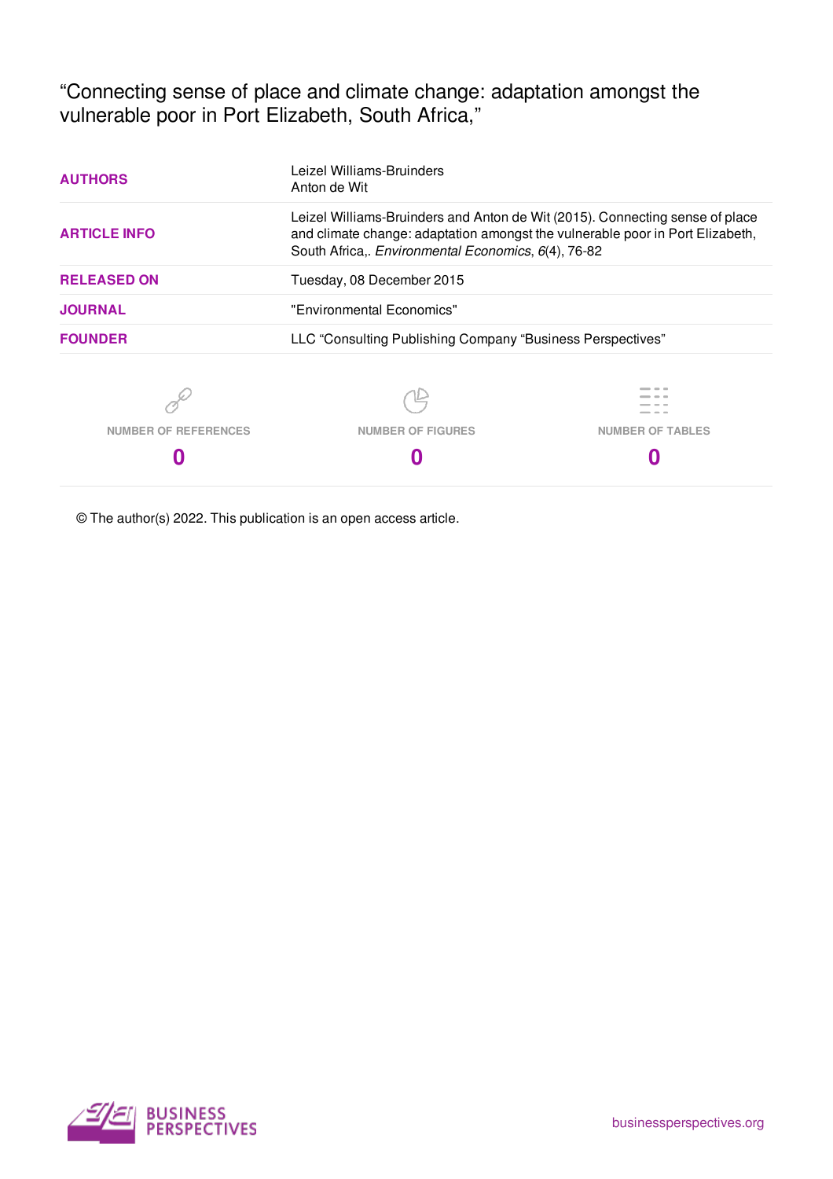"Connecting sense of place and climate change: adaptation amongst the vulnerable poor in Port Elizabeth, South Africa,"

| <b>AUTHORS</b>              | Leizel Williams-Bruinders<br>Anton de Wit                                                                                                                                                                            |                         |  |
|-----------------------------|----------------------------------------------------------------------------------------------------------------------------------------------------------------------------------------------------------------------|-------------------------|--|
| <b>ARTICLE INFO</b>         | Leizel Williams-Bruinders and Anton de Wit (2015). Connecting sense of place<br>and climate change: adaptation amongst the vulnerable poor in Port Elizabeth,<br>South Africa,. Environmental Economics, 6(4), 76-82 |                         |  |
| <b>RELEASED ON</b>          | Tuesday, 08 December 2015                                                                                                                                                                                            |                         |  |
| <b>JOURNAL</b>              | "Environmental Economics"                                                                                                                                                                                            |                         |  |
| <b>FOUNDER</b>              | LLC "Consulting Publishing Company "Business Perspectives"                                                                                                                                                           |                         |  |
|                             |                                                                                                                                                                                                                      |                         |  |
| <b>NUMBER OF REFERENCES</b> | <b>NUMBER OF FIGURES</b>                                                                                                                                                                                             | <b>NUMBER OF TABLES</b> |  |
|                             |                                                                                                                                                                                                                      |                         |  |

© The author(s) 2022. This publication is an open access article.

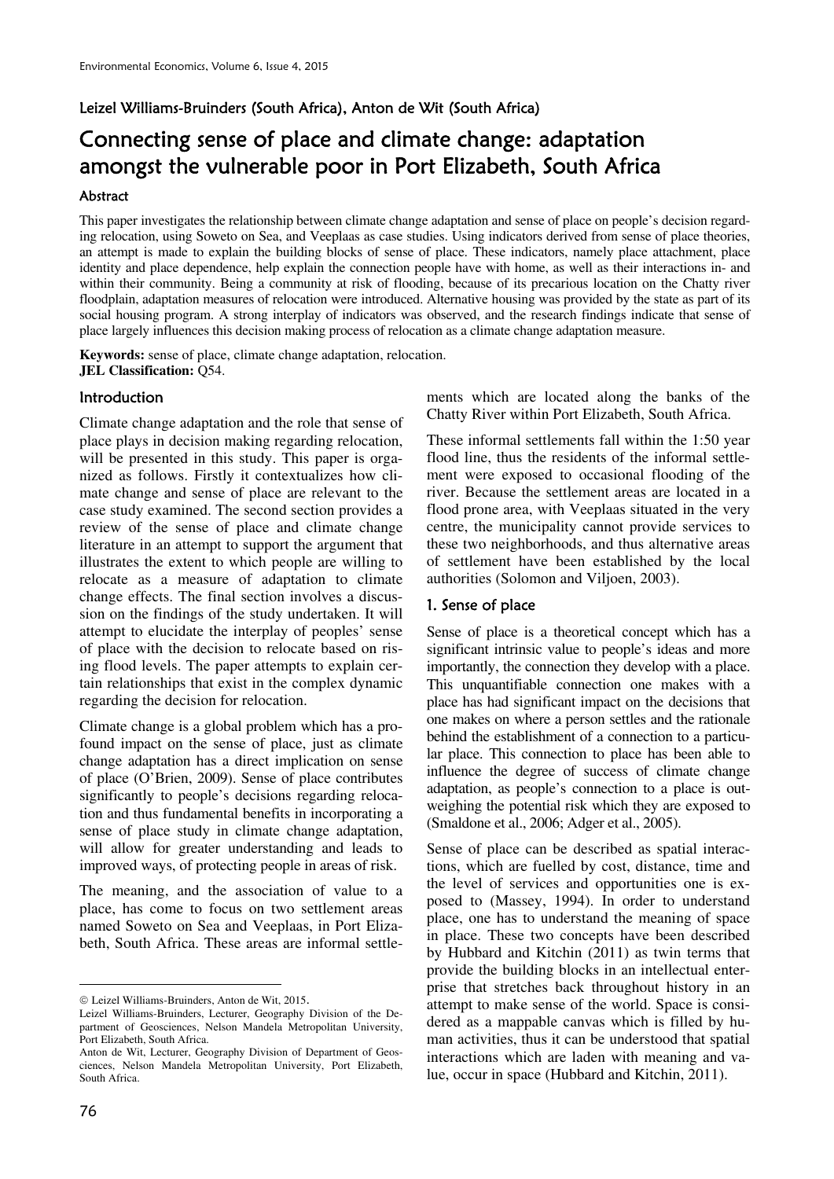# Leizel Williams-Bruinders (South Africa), Anton de Wit (South Africa)

# Connecting sense of place and climate change: adaptation amongst the vulnerable poor in Port Elizabeth, South Africa

#### Abstract

This paper investigates the relationship between climate change adaptation and sense of place on people's decision regarding relocation, using Soweto on Sea, and Veeplaas as case studies. Using indicators derived from sense of place theories, an attempt is made to explain the building blocks of sense of place. These indicators, namely place attachment, place identity and place dependence, help explain the connection people have with home, as well as their interactions in- and within their community. Being a community at risk of flooding, because of its precarious location on the Chatty river floodplain, adaptation measures of relocation were introduced. Alternative housing was provided by the state as part of its social housing program. A strong interplay of indicators was observed, and the research findings indicate that sense of place largely influences this decision making process of relocation as a climate change adaptation measure.

**Keywords:** sense of place, climate change adaptation, relocation. **JEL Classification:** Q54.

#### **Introduction**

Climate change adaptation and the role that sense of place plays in decision making regarding relocation, will be presented in this study. This paper is organized as follows. Firstly it contextualizes how climate change and sense of place are relevant to the case study examined. The second section provides a review of the sense of place and climate change literature in an attempt to support the argument that illustrates the extent to which people are willing to relocate as a measure of adaptation to climate change effects. The final section involves a discussion on the findings of the study undertaken. It will attempt to elucidate the interplay of peoples' sense of place with the decision to relocate based on rising flood levels. The paper attempts to explain certain relationships that exist in the complex dynamic regarding the decision for relocation.

Climate change is a global problem which has a profound impact on the sense of place, just as climate change adaptation has a direct implication on sense of place (O'Brien, 2009). Sense of place contributes significantly to people's decisions regarding relocation and thus fundamental benefits in incorporating a sense of place study in climate change adaptation, will allow for greater understanding and leads to improved ways, of protecting people in areas of risk.

The meaning, and the association of value to a place, has come to focus on two settlement areas named Soweto on Sea and Veeplaas, in Port Elizabeth, South Africa. These areas are informal settlements which are located along the banks of the Chatty River within Port Elizabeth, South Africa.

These informal settlements fall within the 1:50 year flood line, thus the residents of the informal settlement were exposed to occasional flooding of the river. Because the settlement areas are located in a flood prone area, with Veeplaas situated in the very centre, the municipality cannot provide services to these two neighborhoods, and thus alternative areas of settlement have been established by the local authorities (Solomon and Viljoen, 2003).

## 1. Sense of place

Sense of place is a theoretical concept which has a significant intrinsic value to people's ideas and more importantly, the connection they develop with a place. This unquantifiable connection one makes with a place has had significant impact on the decisions that one makes on where a person settles and the rationale behind the establishment of a connection to a particular place. This connection to place has been able to influence the degree of success of climate change adaptation, as people's connection to a place is outweighing the potential risk which they are exposed to (Smaldone et al., 2006; Adger et al., 2005).

Sense of place can be described as spatial interactions, which are fuelled by cost, distance, time and the level of services and opportunities one is exposed to (Massey, 1994). In order to understand place, one has to understand the meaning of space in place. These two concepts have been described by Hubbard and Kitchin (2011) as twin terms that provide the building blocks in an intellectual enterprise that stretches back throughout history in an attempt to make sense of the world. Space is considered as a mappable canvas which is filled by human activities, thus it can be understood that spatial interactions which are laden with meaning and value, occur in space (Hubbard and Kitchin, 2011).

 $\overline{a}$ 

<sup>©</sup> Leizel Williams-Bruinders, Anton de Wit, 2015.

Leizel Williams-Bruinders, Lecturer, Geography Division of the Department of Geosciences, Nelson Mandela Metropolitan University, Port Elizabeth, South Africa.

Anton de Wit, Lecturer, Geography Division of Department of Geosciences, Nelson Mandela Metropolitan University, Port Elizabeth, South Africa.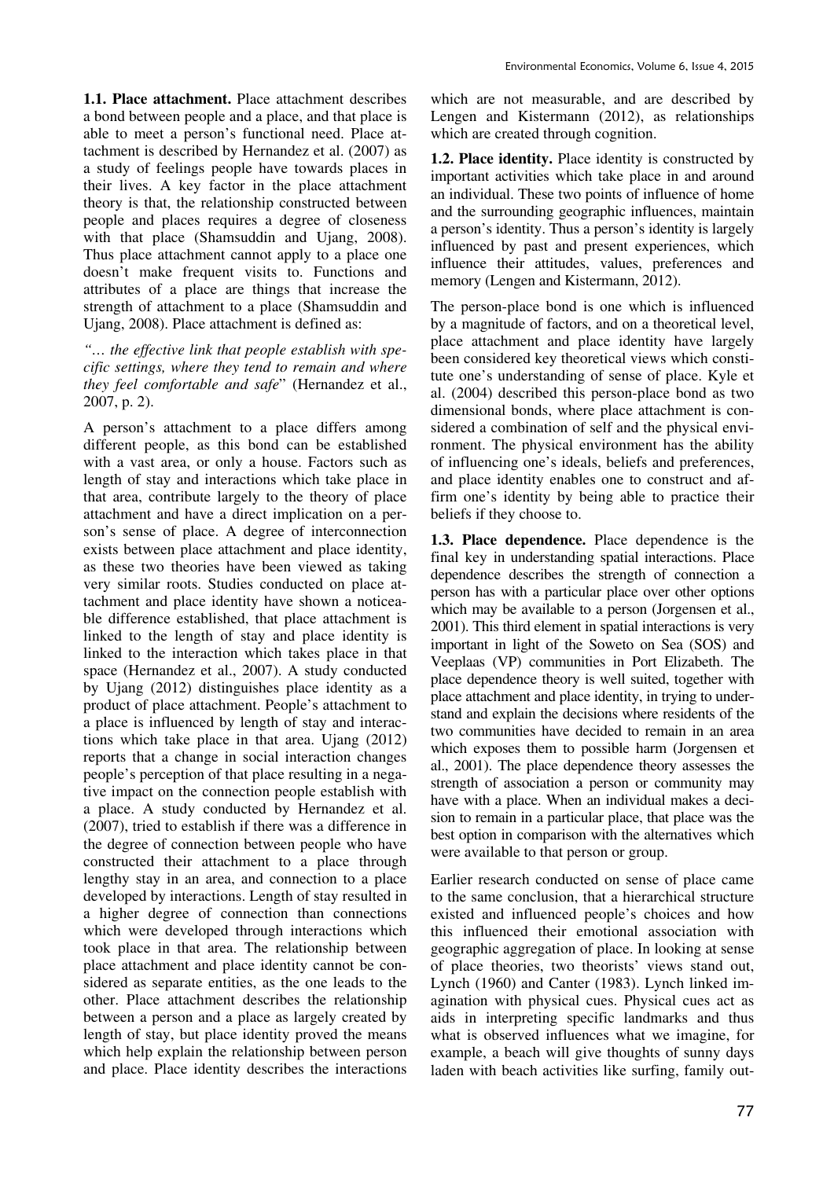**1.1. Place attachment.** Place attachment describes a bond between people and a place, and that place is able to meet a person's functional need. Place attachment is described by Hernandez et al. (2007) as a study of feelings people have towards places in their lives. A key factor in the place attachment theory is that, the relationship constructed between people and places requires a degree of closeness with that place (Shamsuddin and Ujang, 2008). Thus place attachment cannot apply to a place one doesn't make frequent visits to. Functions and attributes of a place are things that increase the strength of attachment to a place (Shamsuddin and Ujang, 2008). Place attachment is defined as:

*"… the effective link that people establish with specific settings, where they tend to remain and where they feel comfortable and safe*" (Hernandez et al., 2007, p. 2).

A person's attachment to a place differs among different people, as this bond can be established with a vast area, or only a house. Factors such as length of stay and interactions which take place in that area, contribute largely to the theory of place attachment and have a direct implication on a person's sense of place. A degree of interconnection exists between place attachment and place identity, as these two theories have been viewed as taking very similar roots. Studies conducted on place attachment and place identity have shown a noticeable difference established, that place attachment is linked to the length of stay and place identity is linked to the interaction which takes place in that space (Hernandez et al., 2007). A study conducted by Ujang (2012) distinguishes place identity as a product of place attachment. People's attachment to a place is influenced by length of stay and interactions which take place in that area. Ujang (2012) reports that a change in social interaction changes people's perception of that place resulting in a negative impact on the connection people establish with a place. A study conducted by Hernandez et al. (2007), tried to establish if there was a difference in the degree of connection between people who have constructed their attachment to a place through lengthy stay in an area, and connection to a place developed by interactions. Length of stay resulted in a higher degree of connection than connections which were developed through interactions which took place in that area. The relationship between place attachment and place identity cannot be considered as separate entities, as the one leads to the other. Place attachment describes the relationship between a person and a place as largely created by length of stay, but place identity proved the means which help explain the relationship between person and place. Place identity describes the interactions

which are not measurable, and are described by Lengen and Kistermann (2012), as relationships which are created through cognition.

**1.2. Place identity.** Place identity is constructed by important activities which take place in and around an individual. These two points of influence of home and the surrounding geographic influences, maintain a person's identity. Thus a person's identity is largely influenced by past and present experiences, which influence their attitudes, values, preferences and memory (Lengen and Kistermann, 2012).

The person-place bond is one which is influenced by a magnitude of factors, and on a theoretical level, place attachment and place identity have largely been considered key theoretical views which constitute one's understanding of sense of place. Kyle et al. (2004) described this person-place bond as two dimensional bonds, where place attachment is considered a combination of self and the physical environment. The physical environment has the ability of influencing one's ideals, beliefs and preferences, and place identity enables one to construct and affirm one's identity by being able to practice their beliefs if they choose to.

**1.3. Place dependence.** Place dependence is the final key in understanding spatial interactions. Place dependence describes the strength of connection a person has with a particular place over other options which may be available to a person (Jorgensen et al., 2001). This third element in spatial interactions is very important in light of the Soweto on Sea (SOS) and Veeplaas (VP) communities in Port Elizabeth. The place dependence theory is well suited, together with place attachment and place identity, in trying to understand and explain the decisions where residents of the two communities have decided to remain in an area which exposes them to possible harm (Jorgensen et al., 2001). The place dependence theory assesses the strength of association a person or community may have with a place. When an individual makes a decision to remain in a particular place, that place was the best option in comparison with the alternatives which were available to that person or group.

Earlier research conducted on sense of place came to the same conclusion, that a hierarchical structure existed and influenced people's choices and how this influenced their emotional association with geographic aggregation of place. In looking at sense of place theories, two theorists' views stand out, Lynch (1960) and Canter (1983). Lynch linked imagination with physical cues. Physical cues act as aids in interpreting specific landmarks and thus what is observed influences what we imagine, for example, a beach will give thoughts of sunny days laden with beach activities like surfing, family out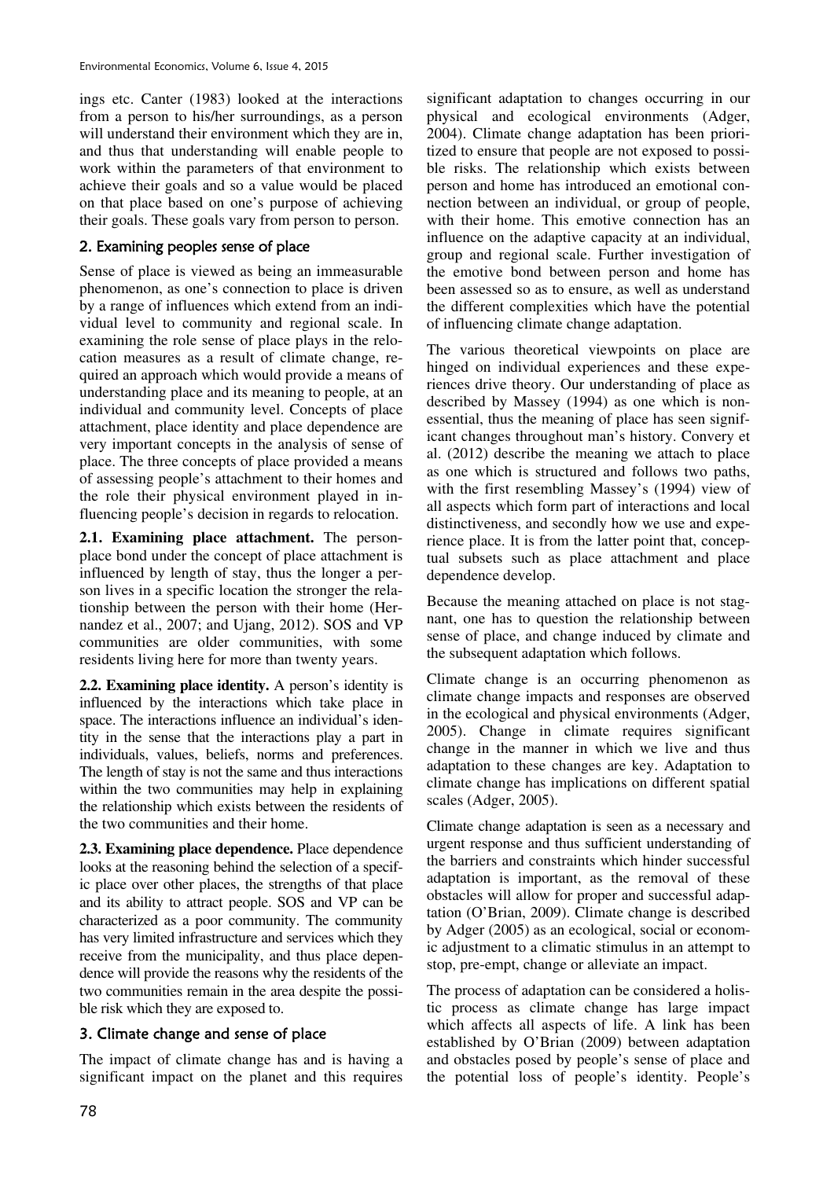ings etc. Canter (1983) looked at the interactions from a person to his/her surroundings, as a person will understand their environment which they are in, and thus that understanding will enable people to work within the parameters of that environment to achieve their goals and so a value would be placed on that place based on one's purpose of achieving their goals. These goals vary from person to person.

# 2. Examining peoples sense of place

Sense of place is viewed as being an immeasurable phenomenon, as one's connection to place is driven by a range of influences which extend from an individual level to community and regional scale. In examining the role sense of place plays in the relocation measures as a result of climate change, required an approach which would provide a means of understanding place and its meaning to people, at an individual and community level. Concepts of place attachment, place identity and place dependence are very important concepts in the analysis of sense of place. The three concepts of place provided a means of assessing people's attachment to their homes and the role their physical environment played in influencing people's decision in regards to relocation.

**2.1. Examining place attachment.** The personplace bond under the concept of place attachment is influenced by length of stay, thus the longer a person lives in a specific location the stronger the relationship between the person with their home (Hernandez et al., 2007; and Ujang, 2012). SOS and VP communities are older communities, with some residents living here for more than twenty years.

**2.2. Examining place identity.** A person's identity is influenced by the interactions which take place in space. The interactions influence an individual's identity in the sense that the interactions play a part in individuals, values, beliefs, norms and preferences. The length of stay is not the same and thus interactions within the two communities may help in explaining the relationship which exists between the residents of the two communities and their home.

**2.3. Examining place dependence.** Place dependence looks at the reasoning behind the selection of a specific place over other places, the strengths of that place and its ability to attract people. SOS and VP can be characterized as a poor community. The community has very limited infrastructure and services which they receive from the municipality, and thus place dependence will provide the reasons why the residents of the two communities remain in the area despite the possible risk which they are exposed to.

## 3. Climate change and sense of place

The impact of climate change has and is having a significant impact on the planet and this requires

significant adaptation to changes occurring in our physical and ecological environments (Adger, 2004). Climate change adaptation has been prioritized to ensure that people are not exposed to possible risks. The relationship which exists between person and home has introduced an emotional connection between an individual, or group of people, with their home. This emotive connection has an influence on the adaptive capacity at an individual, group and regional scale. Further investigation of the emotive bond between person and home has been assessed so as to ensure, as well as understand the different complexities which have the potential of influencing climate change adaptation.

The various theoretical viewpoints on place are hinged on individual experiences and these experiences drive theory. Our understanding of place as described by Massey (1994) as one which is nonessential, thus the meaning of place has seen significant changes throughout man's history. Convery et al. (2012) describe the meaning we attach to place as one which is structured and follows two paths, with the first resembling Massey's (1994) view of all aspects which form part of interactions and local distinctiveness, and secondly how we use and experience place. It is from the latter point that, conceptual subsets such as place attachment and place dependence develop.

Because the meaning attached on place is not stagnant, one has to question the relationship between sense of place, and change induced by climate and the subsequent adaptation which follows.

Climate change is an occurring phenomenon as climate change impacts and responses are observed in the ecological and physical environments (Adger, 2005). Change in climate requires significant change in the manner in which we live and thus adaptation to these changes are key. Adaptation to climate change has implications on different spatial scales (Adger, 2005).

Climate change adaptation is seen as a necessary and urgent response and thus sufficient understanding of the barriers and constraints which hinder successful adaptation is important, as the removal of these obstacles will allow for proper and successful adaptation (O'Brian, 2009). Climate change is described by Adger (2005) as an ecological, social or economic adjustment to a climatic stimulus in an attempt to stop, pre-empt, change or alleviate an impact.

The process of adaptation can be considered a holistic process as climate change has large impact which affects all aspects of life. A link has been established by O'Brian (2009) between adaptation and obstacles posed by people's sense of place and the potential loss of people's identity. People's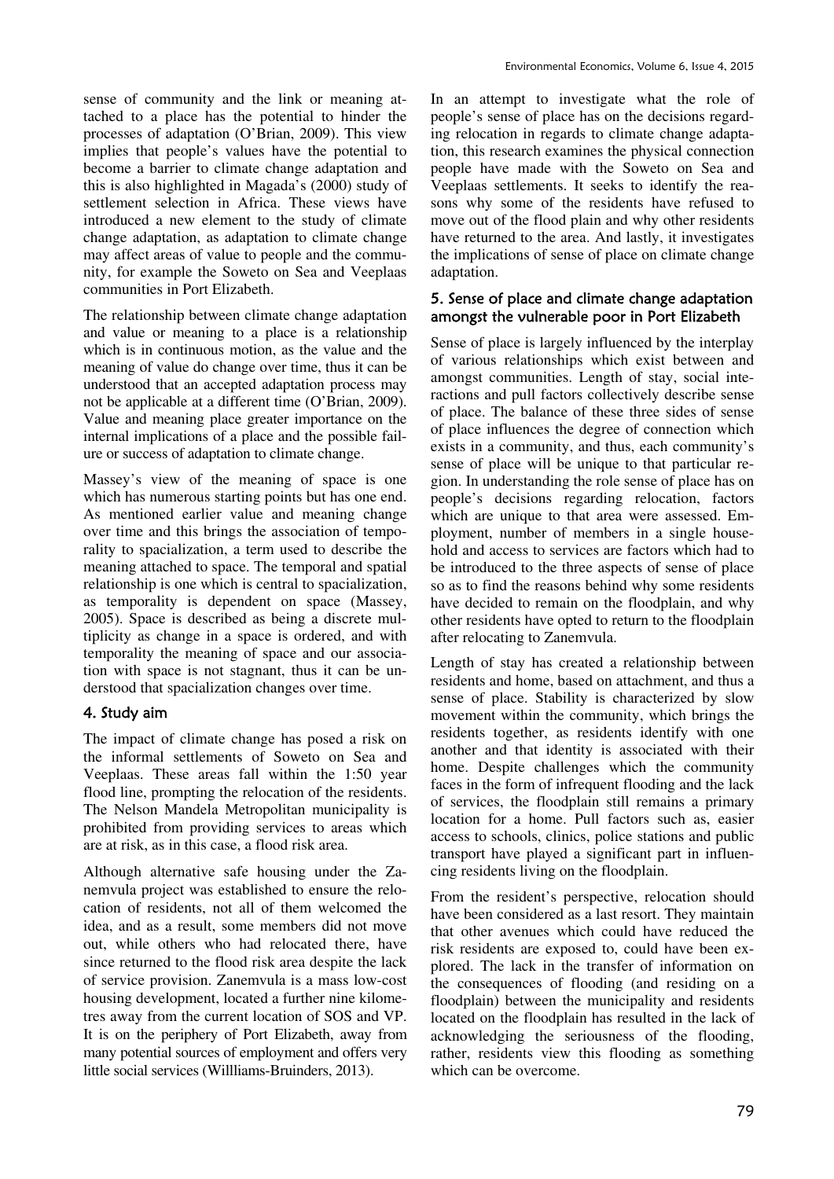sense of community and the link or meaning attached to a place has the potential to hinder the processes of adaptation (O'Brian, 2009). This view implies that people's values have the potential to become a barrier to climate change adaptation and this is also highlighted in Magada's (2000) study of settlement selection in Africa. These views have introduced a new element to the study of climate change adaptation, as adaptation to climate change may affect areas of value to people and the community, for example the Soweto on Sea and Veeplaas communities in Port Elizabeth.

The relationship between climate change adaptation and value or meaning to a place is a relationship which is in continuous motion, as the value and the meaning of value do change over time, thus it can be understood that an accepted adaptation process may not be applicable at a different time (O'Brian, 2009). Value and meaning place greater importance on the internal implications of a place and the possible failure or success of adaptation to climate change.

Massey's view of the meaning of space is one which has numerous starting points but has one end. As mentioned earlier value and meaning change over time and this brings the association of temporality to spacialization, a term used to describe the meaning attached to space. The temporal and spatial relationship is one which is central to spacialization, as temporality is dependent on space (Massey, 2005). Space is described as being a discrete multiplicity as change in a space is ordered, and with temporality the meaning of space and our association with space is not stagnant, thus it can be understood that spacialization changes over time.

## 4. Study aim

The impact of climate change has posed a risk on the informal settlements of Soweto on Sea and Veeplaas. These areas fall within the 1:50 year flood line, prompting the relocation of the residents. The Nelson Mandela Metropolitan municipality is prohibited from providing services to areas which are at risk, as in this case, a flood risk area.

Although alternative safe housing under the Zanemvula project was established to ensure the relocation of residents, not all of them welcomed the idea, and as a result, some members did not move out, while others who had relocated there, have since returned to the flood risk area despite the lack of service provision. Zanemvula is a mass low-cost housing development, located a further nine kilometres away from the current location of SOS and VP. It is on the periphery of Port Elizabeth, away from many potential sources of employment and offers very little social services (Willliams-Bruinders, 2013).

In an attempt to investigate what the role of people's sense of place has on the decisions regarding relocation in regards to climate change adaptation, this research examines the physical connection people have made with the Soweto on Sea and Veeplaas settlements. It seeks to identify the reasons why some of the residents have refused to move out of the flood plain and why other residents have returned to the area. And lastly, it investigates the implications of sense of place on climate change adaptation.

#### 5. Sense of place and climate change adaptation amongst the vulnerable poor in Port Elizabeth

Sense of place is largely influenced by the interplay of various relationships which exist between and amongst communities. Length of stay, social interactions and pull factors collectively describe sense of place. The balance of these three sides of sense of place influences the degree of connection which exists in a community, and thus, each community's sense of place will be unique to that particular region. In understanding the role sense of place has on people's decisions regarding relocation, factors which are unique to that area were assessed. Employment, number of members in a single household and access to services are factors which had to be introduced to the three aspects of sense of place so as to find the reasons behind why some residents have decided to remain on the floodplain, and why other residents have opted to return to the floodplain after relocating to Zanemvula.

Length of stay has created a relationship between residents and home, based on attachment, and thus a sense of place. Stability is characterized by slow movement within the community, which brings the residents together, as residents identify with one another and that identity is associated with their home. Despite challenges which the community faces in the form of infrequent flooding and the lack of services, the floodplain still remains a primary location for a home. Pull factors such as, easier access to schools, clinics, police stations and public transport have played a significant part in influencing residents living on the floodplain.

From the resident's perspective, relocation should have been considered as a last resort. They maintain that other avenues which could have reduced the risk residents are exposed to, could have been explored. The lack in the transfer of information on the consequences of flooding (and residing on a floodplain) between the municipality and residents located on the floodplain has resulted in the lack of acknowledging the seriousness of the flooding, rather, residents view this flooding as something which can be overcome.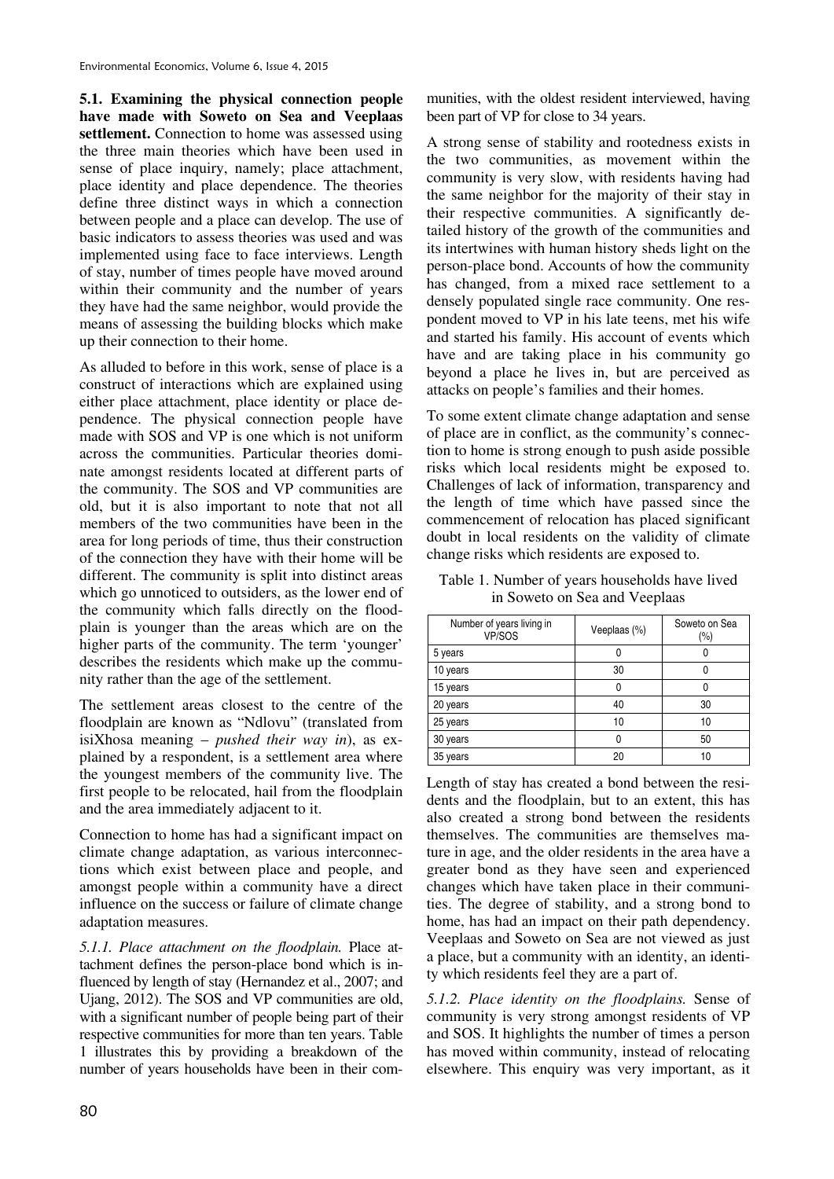**5.1. Examining the physical connection people have made with Soweto on Sea and Veeplaas settlement.** Connection to home was assessed using the three main theories which have been used in sense of place inquiry, namely; place attachment, place identity and place dependence. The theories define three distinct ways in which a connection between people and a place can develop. The use of basic indicators to assess theories was used and was implemented using face to face interviews. Length of stay, number of times people have moved around within their community and the number of years they have had the same neighbor, would provide the means of assessing the building blocks which make up their connection to their home.

As alluded to before in this work, sense of place is a construct of interactions which are explained using either place attachment, place identity or place dependence. The physical connection people have made with SOS and VP is one which is not uniform across the communities. Particular theories dominate amongst residents located at different parts of the community. The SOS and VP communities are old, but it is also important to note that not all members of the two communities have been in the area for long periods of time, thus their construction of the connection they have with their home will be different. The community is split into distinct areas which go unnoticed to outsiders, as the lower end of the community which falls directly on the floodplain is younger than the areas which are on the higher parts of the community. The term 'younger' describes the residents which make up the community rather than the age of the settlement.

The settlement areas closest to the centre of the floodplain are known as "Ndlovu" (translated from isiXhosa meaning – *pushed their way in*), as explained by a respondent, is a settlement area where the youngest members of the community live. The first people to be relocated, hail from the floodplain and the area immediately adjacent to it.

Connection to home has had a significant impact on climate change adaptation, as various interconnections which exist between place and people, and amongst people within a community have a direct influence on the success or failure of climate change adaptation measures.

*5.1.1. Place attachment on the floodplain.* Place attachment defines the person-place bond which is influenced by length of stay (Hernandez et al., 2007; and Ujang, 2012). The SOS and VP communities are old, with a significant number of people being part of their respective communities for more than ten years. Table 1 illustrates this by providing a breakdown of the number of years households have been in their com-

munities, with the oldest resident interviewed, having been part of VP for close to 34 years.

A strong sense of stability and rootedness exists in the two communities, as movement within the community is very slow, with residents having had the same neighbor for the majority of their stay in their respective communities. A significantly detailed history of the growth of the communities and its intertwines with human history sheds light on the person-place bond. Accounts of how the community has changed, from a mixed race settlement to a densely populated single race community. One respondent moved to VP in his late teens, met his wife and started his family. His account of events which have and are taking place in his community go beyond a place he lives in, but are perceived as attacks on people's families and their homes.

To some extent climate change adaptation and sense of place are in conflict, as the community's connection to home is strong enough to push aside possible risks which local residents might be exposed to. Challenges of lack of information, transparency and the length of time which have passed since the commencement of relocation has placed significant doubt in local residents on the validity of climate change risks which residents are exposed to.

| Number of years living in<br>VP/SOS | Veeplaas (%) | Soweto on Sea<br>(%) |
|-------------------------------------|--------------|----------------------|
| 5 years                             |              |                      |
| 10 years                            | 30           |                      |
| 15 years                            | n            |                      |
| 20 years                            | 40           | 30                   |
| 25 years                            | 10           | 10                   |
| 30 years                            | O            | 50                   |
| 35 years                            | 20           |                      |

Table 1. Number of years households have lived in Soweto on Sea and Veeplaas

Length of stay has created a bond between the residents and the floodplain, but to an extent, this has also created a strong bond between the residents themselves. The communities are themselves mature in age, and the older residents in the area have a greater bond as they have seen and experienced changes which have taken place in their communities. The degree of stability, and a strong bond to home, has had an impact on their path dependency. Veeplaas and Soweto on Sea are not viewed as just a place, but a community with an identity, an identity which residents feel they are a part of.

*5.1.2. Place identity on the floodplains.* Sense of community is very strong amongst residents of VP and SOS. It highlights the number of times a person has moved within community, instead of relocating elsewhere. This enquiry was very important, as it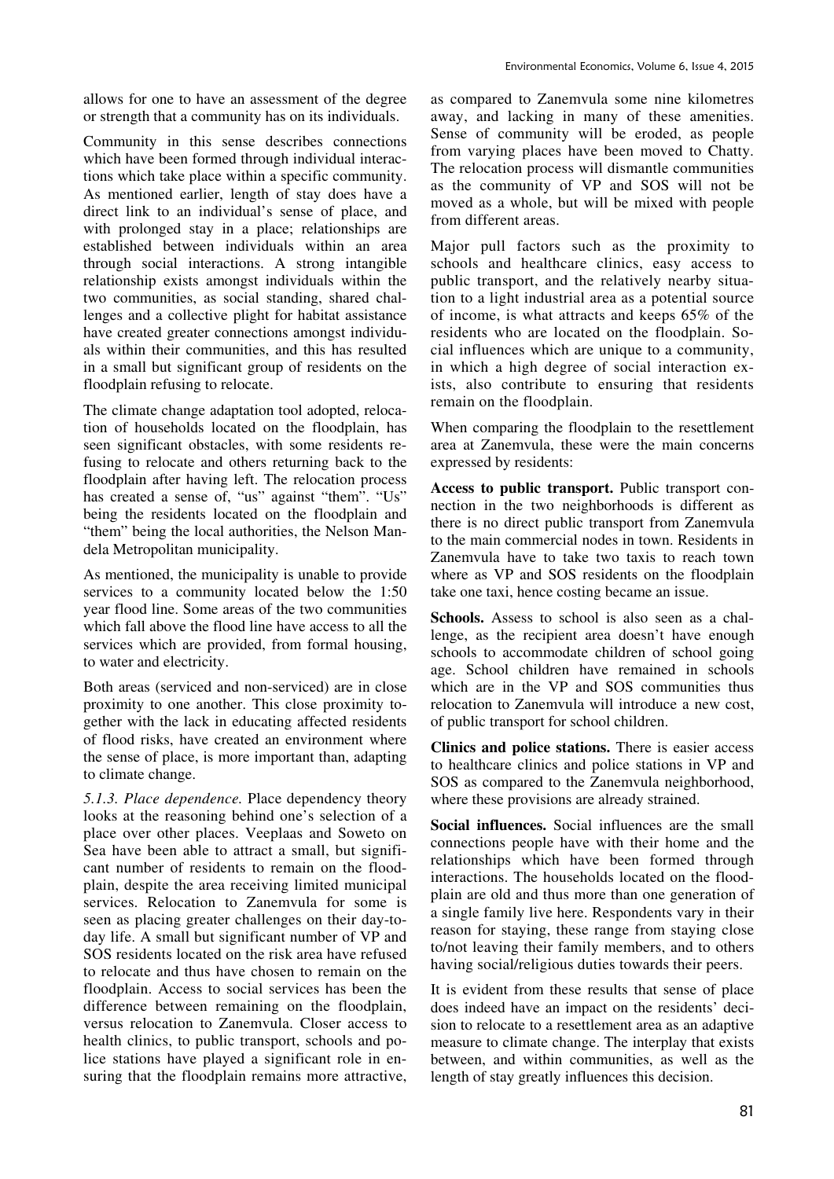allows for one to have an assessment of the degree or strength that a community has on its individuals.

Community in this sense describes connections which have been formed through individual interactions which take place within a specific community. As mentioned earlier, length of stay does have a direct link to an individual's sense of place, and with prolonged stay in a place; relationships are established between individuals within an area through social interactions. A strong intangible relationship exists amongst individuals within the two communities, as social standing, shared challenges and a collective plight for habitat assistance have created greater connections amongst individuals within their communities, and this has resulted in a small but significant group of residents on the floodplain refusing to relocate.

The climate change adaptation tool adopted, relocation of households located on the floodplain, has seen significant obstacles, with some residents refusing to relocate and others returning back to the floodplain after having left. The relocation process has created a sense of, "us" against "them". "Us" being the residents located on the floodplain and "them" being the local authorities, the Nelson Mandela Metropolitan municipality.

As mentioned, the municipality is unable to provide services to a community located below the 1:50 year flood line. Some areas of the two communities which fall above the flood line have access to all the services which are provided, from formal housing, to water and electricity.

Both areas (serviced and non-serviced) are in close proximity to one another. This close proximity together with the lack in educating affected residents of flood risks, have created an environment where the sense of place, is more important than, adapting to climate change.

*5.1.3. Place dependence.* Place dependency theory looks at the reasoning behind one's selection of a place over other places. Veeplaas and Soweto on Sea have been able to attract a small, but significant number of residents to remain on the floodplain, despite the area receiving limited municipal services. Relocation to Zanemvula for some is seen as placing greater challenges on their day-today life. A small but significant number of VP and SOS residents located on the risk area have refused to relocate and thus have chosen to remain on the floodplain. Access to social services has been the difference between remaining on the floodplain, versus relocation to Zanemvula. Closer access to health clinics, to public transport, schools and police stations have played a significant role in ensuring that the floodplain remains more attractive,

as compared to Zanemvula some nine kilometres away, and lacking in many of these amenities. Sense of community will be eroded, as people from varying places have been moved to Chatty. The relocation process will dismantle communities as the community of VP and SOS will not be moved as a whole, but will be mixed with people from different areas.

Major pull factors such as the proximity to schools and healthcare clinics, easy access to public transport, and the relatively nearby situation to a light industrial area as a potential source of income, is what attracts and keeps 65% of the residents who are located on the floodplain. Social influences which are unique to a community, in which a high degree of social interaction exists, also contribute to ensuring that residents remain on the floodplain.

When comparing the floodplain to the resettlement area at Zanemvula, these were the main concerns expressed by residents:

**Access to public transport.** Public transport connection in the two neighborhoods is different as there is no direct public transport from Zanemvula to the main commercial nodes in town. Residents in Zanemvula have to take two taxis to reach town where as VP and SOS residents on the floodplain take one taxi, hence costing became an issue.

**Schools.** Assess to school is also seen as a challenge, as the recipient area doesn't have enough schools to accommodate children of school going age. School children have remained in schools which are in the VP and SOS communities thus relocation to Zanemvula will introduce a new cost, of public transport for school children.

**Clinics and police stations.** There is easier access to healthcare clinics and police stations in VP and SOS as compared to the Zanemvula neighborhood, where these provisions are already strained.

**Social influences.** Social influences are the small connections people have with their home and the relationships which have been formed through interactions. The households located on the floodplain are old and thus more than one generation of a single family live here. Respondents vary in their reason for staying, these range from staying close to/not leaving their family members, and to others having social/religious duties towards their peers.

It is evident from these results that sense of place does indeed have an impact on the residents' decision to relocate to a resettlement area as an adaptive measure to climate change. The interplay that exists between, and within communities, as well as the length of stay greatly influences this decision.